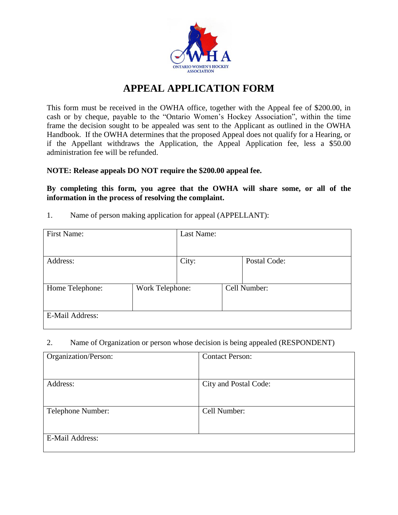

## **APPEAL APPLICATION FORM**

This form must be received in the OWHA office, together with the Appeal fee of \$200.00, in cash or by cheque, payable to the "Ontario Women's Hockey Association", within the time frame the decision sought to be appealed was sent to the Applicant as outlined in the OWHA Handbook. If the OWHA determines that the proposed Appeal does not qualify for a Hearing, or if the Appellant withdraws the Application, the Appeal Application fee, less a \$50.00 administration fee will be refunded.

## **NOTE: Release appeals DO NOT require the \$200.00 appeal fee.**

**By completing this form, you agree that the OWHA will share some, or all of the information in the process of resolving the complaint.** 

| <b>First Name:</b>     |                 | Last Name: |  |              |
|------------------------|-----------------|------------|--|--------------|
|                        |                 |            |  |              |
| Address:               |                 | City:      |  | Postal Code: |
|                        |                 |            |  |              |
| Home Telephone:        | Work Telephone: |            |  | Cell Number: |
|                        |                 |            |  |              |
| <b>E-Mail Address:</b> |                 |            |  |              |
|                        |                 |            |  |              |

1. Name of person making application for appeal (APPELLANT):

## 2. Name of Organization or person whose decision is being appealed (RESPONDENT)

| Organization/Person:   | <b>Contact Person:</b> |
|------------------------|------------------------|
| Address:               | City and Postal Code:  |
| Telephone Number:      | Cell Number:           |
| <b>E-Mail Address:</b> |                        |